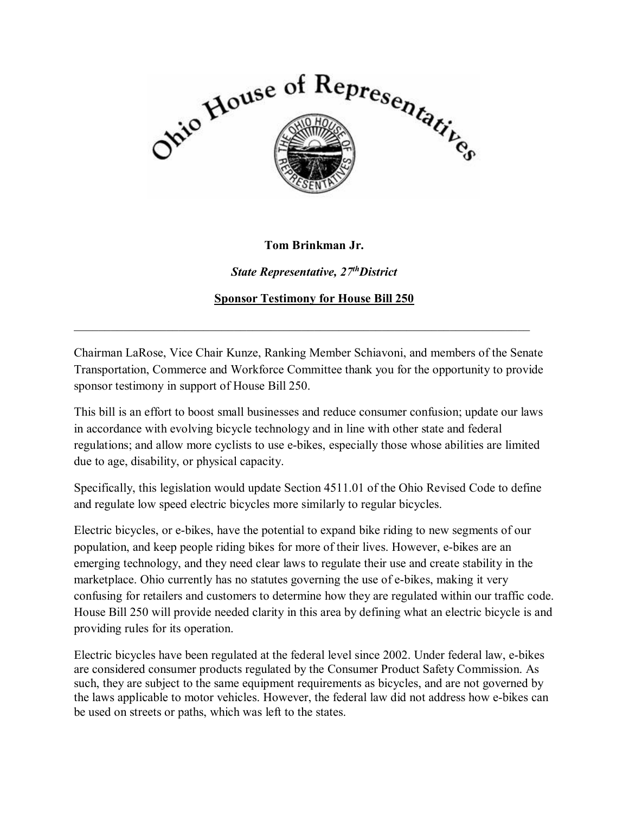

## **Tom Brinkman Jr.**

*State Representative, 27thDistrict* 

**Sponsor Testimony for House Bill 250** 

Chairman LaRose, Vice Chair Kunze, Ranking Member Schiavoni, and members of the Senate Transportation, Commerce and Workforce Committee thank you for the opportunity to provide sponsor testimony in support of House Bill 250.

 $\_$  , and the set of the set of the set of the set of the set of the set of the set of the set of the set of the set of the set of the set of the set of the set of the set of the set of the set of the set of the set of th

This bill is an effort to boost small businesses and reduce consumer confusion; update our laws in accordance with evolving bicycle technology and in line with other state and federal regulations; and allow more cyclists to use e-bikes, especially those whose abilities are limited due to age, disability, or physical capacity.

Specifically, this legislation would update Section 4511.01 of the Ohio Revised Code to define and regulate low speed electric bicycles more similarly to regular bicycles.

Electric bicycles, or e-bikes, have the potential to expand bike riding to new segments of our population, and keep people riding bikes for more of their lives. However, e-bikes are an emerging technology, and they need clear laws to regulate their use and create stability in the marketplace. Ohio currently has no statutes governing the use of e-bikes, making it very confusing for retailers and customers to determine how they are regulated within our traffic code. House Bill 250 will provide needed clarity in this area by defining what an electric bicycle is and providing rules for its operation.

Electric bicycles have been regulated at the federal level since 2002. Under federal law, e-bikes are considered consumer products regulated by the Consumer Product Safety Commission. As such, they are subject to the same equipment requirements as bicycles, and are not governed by the laws applicable to motor vehicles. However, the federal law did not address how e-bikes can be used on streets or paths, which was left to the states.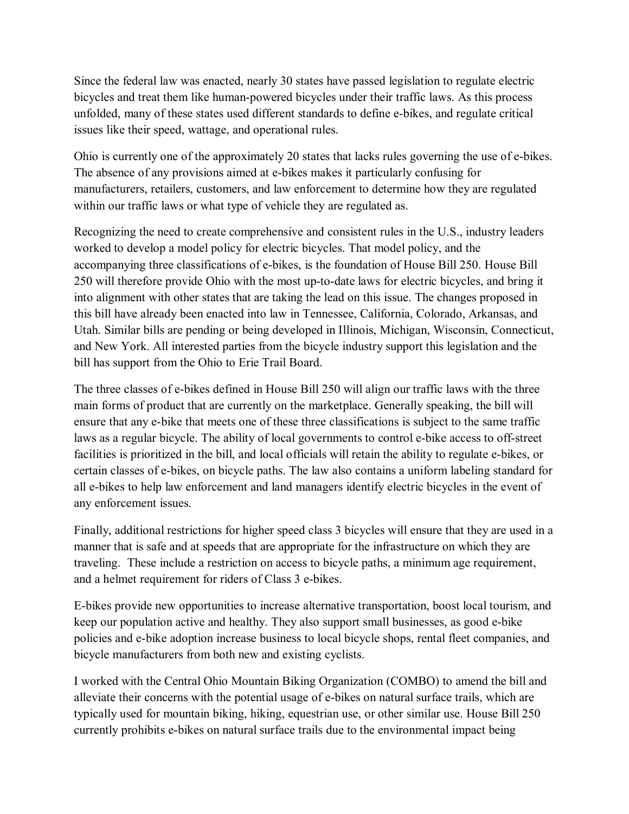Since the federal law was enacted, nearly 30 states have passed legislation to regulate electric bicycles and treat them like human-powered bicycles under their traffic laws. As this process unfolded, many of these states used different standards to define e-bikes, and regulate critical issues like their speed, wattage, and operational rules.

Ohio is currently one of the approximately 20 states that lacks rules governing the use of e-bikes. The absence of any provisions aimed at e-bikes makes it particularly confusing for manufacturers, retailers, customers, and law enforcement to determine how they are regulated within our traffic laws or what type of vehicle they are regulated as.

Recognizing the need to create comprehensive and consistent rules in the U.S., industry leaders worked to develop a model policy for electric bicycles. That model policy, and the accompanying three classifications of e-bikes, is the foundation of House Bill 250. House Bill 250 will therefore provide Ohio with the most up-to-date laws for electric bicycles, and bring it into alignment with other states that are taking the lead on this issue. The changes proposed in this bill have already been enacted into law in Tennessee, California, Colorado, Arkansas, and Utah. Similar bills are pending or being developed in Illinois, Michigan, Wisconsin, Connecticut, and New York. All interested parties from the bicycle industry support this legislation and the bill has support from the Ohio to Erie Trail Board.

The three classes of e-bikes defined in House Bill 250 will align our traffic laws with the three main forms of product that are currently on the marketplace. Generally speaking, the bill will ensure that any e-bike that meets one of these three classifications is subject to the same traffic laws as a regular bicycle. The ability of local governments to control e-bike access to off-street facilities is prioritized in the bill, and local officials will retain the ability to regulate e-bikes, or certain classes of e-bikes, on bicycle paths. The law also contains a uniform labeling standard for all e-bikes to help law enforcement and land managers identify electric bicycles in the event of any enforcement issues.

Finally, additional restrictions for higher speed class 3 bicycles will ensure that they are used in a manner that is safe and at speeds that are appropriate for the infrastructure on which they are traveling. These include a restriction on access to bicycle paths, a minimum age requirement, and a helmet requirement for riders of Class 3 e-bikes.

E-bikes provide new opportunities to increase alternative transportation, boost local tourism, and keep our population active and healthy. They also support small businesses, as good e-bike policies and e-bike adoption increase business to local bicycle shops, rental fleet companies, and bicycle manufacturers from both new and existing cyclists.

I worked with the Central Ohio Mountain Biking Organization (COMBO) to amend the bill and alleviate their concerns with the potential usage of e-bikes on natural surface trails, which are typically used for mountain biking, hiking, equestrian use, or other similar use. House Bill 250 currently prohibits e-bikes on natural surface trails due to the environmental impact being